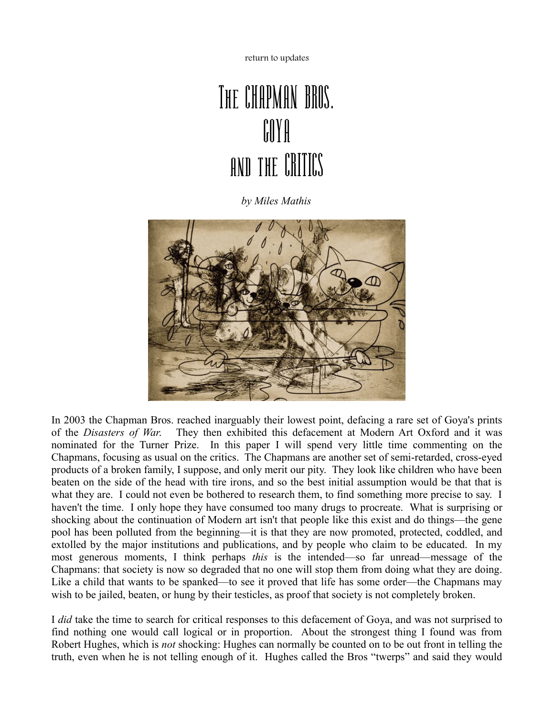return to updates

## THE CHAPMAN BROS GOYA and the CRITICS

*by Miles Mathis*



In 2003 the Chapman Bros. reached inarguably their lowest point, defacing a rare set of Goya's prints of the *Disasters of War*. They then exhibited this defacement at Modern Art Oxford and it was nominated for the Turner Prize. In this paper I will spend very little time commenting on the Chapmans, focusing as usual on the critics. The Chapmans are another set of semi-retarded, cross-eyed products of a broken family, I suppose, and only merit our pity. They look like children who have been beaten on the side of the head with tire irons, and so the best initial assumption would be that that is what they are. I could not even be bothered to research them, to find something more precise to say. I haven't the time. I only hope they have consumed too many drugs to procreate. What is surprising or shocking about the continuation of Modern art isn't that people like this exist and do things—the gene pool has been polluted from the beginning—it is that they are now promoted, protected, coddled, and extolled by the major institutions and publications, and by people who claim to be educated. In my most generous moments, I think perhaps *this* is the intended—so far unread—message of the Chapmans: that society is now so degraded that no one will stop them from doing what they are doing. Like a child that wants to be spanked—to see it proved that life has some order—the Chapmans may wish to be jailed, beaten, or hung by their testicles, as proof that society is not completely broken.

I *did* take the time to search for critical responses to this defacement of Goya, and was not surprised to find nothing one would call logical or in proportion. About the strongest thing I found was from Robert Hughes, which is *not* shocking: Hughes can normally be counted on to be out front in telling the truth, even when he is not telling enough of it. Hughes called the Bros "twerps" and said they would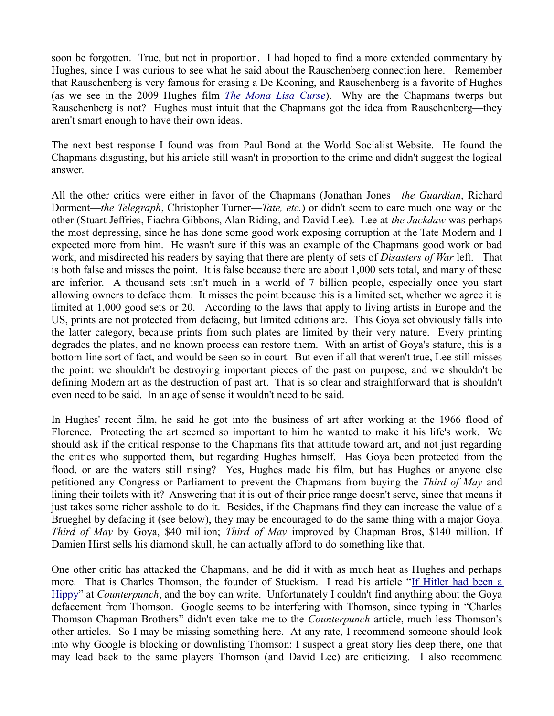soon be forgotten. True, but not in proportion. I had hoped to find a more extended commentary by Hughes, since I was curious to see what he said about the Rauschenberg connection here. Remember that Rauschenberg is very famous for erasing a De Kooning, and Rauschenberg is a favorite of Hughes (as we see in the 2009 Hughes film *[The Mona Lisa Curse](http://milesmathis.com/hughes2.pdf)*). Why are the Chapmans twerps but Rauschenberg is not? Hughes must intuit that the Chapmans got the idea from Rauschenberg—they aren't smart enough to have their own ideas.

The next best response I found was from Paul Bond at the World Socialist Website. He found the Chapmans disgusting, but his article still wasn't in proportion to the crime and didn't suggest the logical answer.

All the other critics were either in favor of the Chapmans (Jonathan Jones—*the Guardian*, Richard Dorment—*the Telegraph*, Christopher Turner—*Tate, etc.*) or didn't seem to care much one way or the other (Stuart Jeffries, Fiachra Gibbons, Alan Riding, and David Lee). Lee at *the Jackdaw* was perhaps the most depressing, since he has done some good work exposing corruption at the Tate Modern and I expected more from him. He wasn't sure if this was an example of the Chapmans good work or bad work, and misdirected his readers by saying that there are plenty of sets of *Disasters of War* left. That is both false and misses the point. It is false because there are about 1,000 sets total, and many of these are inferior. A thousand sets isn't much in a world of 7 billion people, especially once you start allowing owners to deface them. It misses the point because this is a limited set, whether we agree it is limited at 1,000 good sets or 20. According to the laws that apply to living artists in Europe and the US, prints are not protected from defacing, but limited editions are. This Goya set obviously falls into the latter category, because prints from such plates are limited by their very nature. Every printing degrades the plates, and no known process can restore them. With an artist of Goya's stature, this is a bottom-line sort of fact, and would be seen so in court. But even if all that weren't true, Lee still misses the point: we shouldn't be destroying important pieces of the past on purpose, and we shouldn't be defining Modern art as the destruction of past art. That is so clear and straightforward that is shouldn't even need to be said. In an age of sense it wouldn't need to be said.

In Hughes' recent film, he said he got into the business of art after working at the 1966 flood of Florence. Protecting the art seemed so important to him he wanted to make it his life's work. We should ask if the critical response to the Chapmans fits that attitude toward art, and not just regarding the critics who supported them, but regarding Hughes himself. Has Goya been protected from the flood, or are the waters still rising? Yes, Hughes made his film, but has Hughes or anyone else petitioned any Congress or Parliament to prevent the Chapmans from buying the *Third of May* and lining their toilets with it? Answering that it is out of their price range doesn't serve, since that means it just takes some richer asshole to do it. Besides, if the Chapmans find they can increase the value of a Brueghel by defacing it (see below), they may be encouraged to do the same thing with a major Goya. *Third of May* by Goya, \$40 million; *Third of May* improved by Chapman Bros, \$140 million. If Damien Hirst sells his diamond skull, he can actually afford to do something like that.

One other critic has attacked the Chapmans, and he did it with as much heat as Hughes and perhaps more. That is Charles Thomson, the founder of Stuckism. I read his article ["If Hitler had been a](http://www.counterpunch.org/2008/06/01/if-hitler-had-been-a-hippy/) [Hippy"](http://www.counterpunch.org/2008/06/01/if-hitler-had-been-a-hippy/) at *Counterpunch*, and the boy can write. Unfortunately I couldn't find anything about the Goya defacement from Thomson. Google seems to be interfering with Thomson, since typing in "Charles Thomson Chapman Brothers" didn't even take me to the *Counterpunch* article, much less Thomson's other articles. So I may be missing something here. At any rate, I recommend someone should look into why Google is blocking or downlisting Thomson: I suspect a great story lies deep there, one that may lead back to the same players Thomson (and David Lee) are criticizing. I also recommend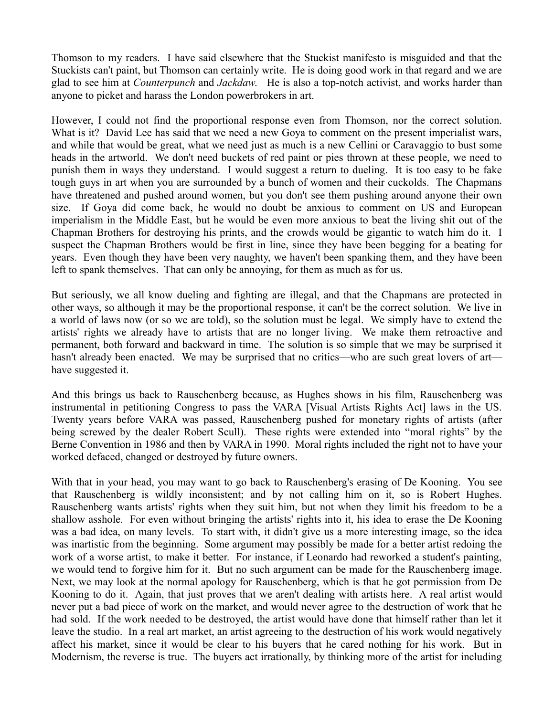Thomson to my readers. I have said elsewhere that the Stuckist manifesto is misguided and that the Stuckists can't paint, but Thomson can certainly write. He is doing good work in that regard and we are glad to see him at *Counterpunch* and *Jackdaw*. He is also a top-notch activist, and works harder than anyone to picket and harass the London powerbrokers in art.

However, I could not find the proportional response even from Thomson, nor the correct solution. What is it? David Lee has said that we need a new Goya to comment on the present imperialist wars, and while that would be great, what we need just as much is a new Cellini or Caravaggio to bust some heads in the artworld. We don't need buckets of red paint or pies thrown at these people, we need to punish them in ways they understand. I would suggest a return to dueling. It is too easy to be fake tough guys in art when you are surrounded by a bunch of women and their cuckolds. The Chapmans have threatened and pushed around women, but you don't see them pushing around anyone their own size. If Goya did come back, he would no doubt be anxious to comment on US and European imperialism in the Middle East, but he would be even more anxious to beat the living shit out of the Chapman Brothers for destroying his prints, and the crowds would be gigantic to watch him do it. I suspect the Chapman Brothers would be first in line, since they have been begging for a beating for years. Even though they have been very naughty, we haven't been spanking them, and they have been left to spank themselves. That can only be annoying, for them as much as for us.

But seriously, we all know dueling and fighting are illegal, and that the Chapmans are protected in other ways, so although it may be the proportional response, it can't be the correct solution. We live in a world of laws now (or so we are told), so the solution must be legal. We simply have to extend the artists' rights we already have to artists that are no longer living. We make them retroactive and permanent, both forward and backward in time. The solution is so simple that we may be surprised it hasn't already been enacted. We may be surprised that no critics—who are such great lovers of art have suggested it.

And this brings us back to Rauschenberg because, as Hughes shows in his film, Rauschenberg was instrumental in petitioning Congress to pass the VARA [Visual Artists Rights Act] laws in the US. Twenty years before VARA was passed, Rauschenberg pushed for monetary rights of artists (after being screwed by the dealer Robert Scull). These rights were extended into "moral rights" by the Berne Convention in 1986 and then by VARA in 1990. Moral rights included the right not to have your worked defaced, changed or destroyed by future owners.

With that in your head, you may want to go back to Rauschenberg's erasing of De Kooning. You see that Rauschenberg is wildly inconsistent; and by not calling him on it, so is Robert Hughes. Rauschenberg wants artists' rights when they suit him, but not when they limit his freedom to be a shallow asshole. For even without bringing the artists' rights into it, his idea to erase the De Kooning was a bad idea, on many levels. To start with, it didn't give us a more interesting image, so the idea was inartistic from the beginning. Some argument may possibly be made for a better artist redoing the work of a worse artist, to make it better. For instance, if Leonardo had reworked a student's painting, we would tend to forgive him for it. But no such argument can be made for the Rauschenberg image. Next, we may look at the normal apology for Rauschenberg, which is that he got permission from De Kooning to do it. Again, that just proves that we aren't dealing with artists here. A real artist would never put a bad piece of work on the market, and would never agree to the destruction of work that he had sold. If the work needed to be destroyed, the artist would have done that himself rather than let it leave the studio. In a real art market, an artist agreeing to the destruction of his work would negatively affect his market, since it would be clear to his buyers that he cared nothing for his work. But in Modernism, the reverse is true. The buyers act irrationally, by thinking more of the artist for including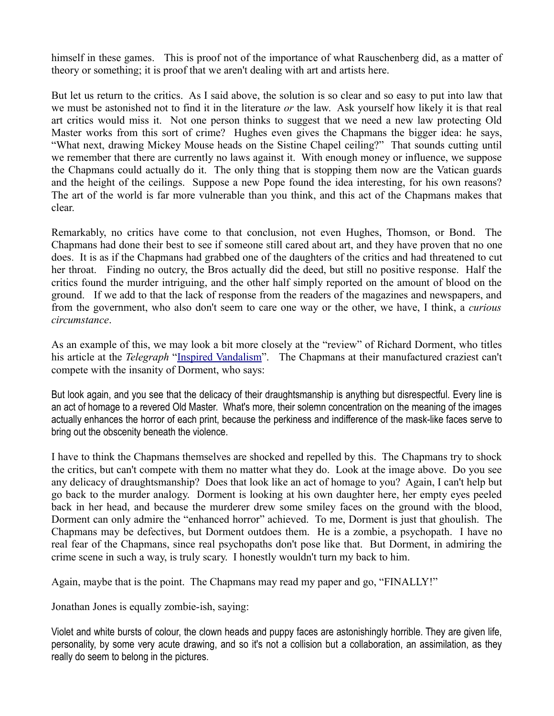himself in these games. This is proof not of the importance of what Rauschenberg did, as a matter of theory or something; it is proof that we aren't dealing with art and artists here.

But let us return to the critics. As I said above, the solution is so clear and so easy to put into law that we must be astonished not to find it in the literature *or* the law. Ask yourself how likely it is that real art critics would miss it. Not one person thinks to suggest that we need a new law protecting Old Master works from this sort of crime? Hughes even gives the Chapmans the bigger idea: he says, "What next, drawing Mickey Mouse heads on the Sistine Chapel ceiling?" That sounds cutting until we remember that there are currently no laws against it. With enough money or influence, we suppose the Chapmans could actually do it. The only thing that is stopping them now are the Vatican guards and the height of the ceilings. Suppose a new Pope found the idea interesting, for his own reasons? The art of the world is far more vulnerable than you think, and this act of the Chapmans makes that clear.

Remarkably, no critics have come to that conclusion, not even Hughes, Thomson, or Bond. The Chapmans had done their best to see if someone still cared about art, and they have proven that no one does. It is as if the Chapmans had grabbed one of the daughters of the critics and had threatened to cut her throat. Finding no outcry, the Bros actually did the deed, but still no positive response. Half the critics found the murder intriguing, and the other half simply reported on the amount of blood on the ground. If we add to that the lack of response from the readers of the magazines and newspapers, and from the government, who also don't seem to care one way or the other, we have, I think, a *curious circumstance*.

As an example of this, we may look a bit more closely at the "review" of Richard Dorment, who titles his article at the *Telegraph* ["Inspired Vandalism"](http://www.telegraph.co.uk/culture/art/3593618/Inspired-vandalism.html). The Chapmans at their manufactured craziest can't compete with the insanity of Dorment, who says:

But look again, and you see that the delicacy of their draughtsmanship is anything but disrespectful. Every line is an act of homage to a revered Old Master. What's more, their solemn concentration on the meaning of the images actually enhances the horror of each print, because the perkiness and indifference of the mask-like faces serve to bring out the obscenity beneath the violence.

I have to think the Chapmans themselves are shocked and repelled by this. The Chapmans try to shock the critics, but can't compete with them no matter what they do. Look at the image above. Do you see any delicacy of draughtsmanship? Does that look like an act of homage to you? Again, I can't help but go back to the murder analogy. Dorment is looking at his own daughter here, her empty eyes peeled back in her head, and because the murderer drew some smiley faces on the ground with the blood, Dorment can only admire the "enhanced horror" achieved. To me, Dorment is just that ghoulish. The Chapmans may be defectives, but Dorment outdoes them. He is a zombie, a psychopath. I have no real fear of the Chapmans, since real psychopaths don't pose like that. But Dorment, in admiring the crime scene in such a way, is truly scary. I honestly wouldn't turn my back to him.

Again, maybe that is the point. The Chapmans may read my paper and go, "FINALLY!"

Jonathan Jones is equally zombie-ish, saying:

Violet and white bursts of colour, the clown heads and puppy faces are astonishingly horrible. They are given life, personality, by some very acute drawing, and so it's not a collision but a collaboration, an assimilation, as they really do seem to belong in the pictures.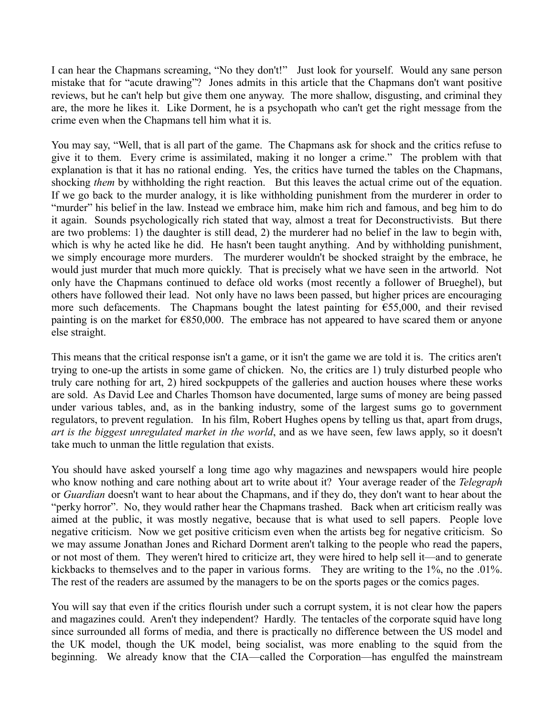I can hear the Chapmans screaming, "No they don't!" Just look for yourself. Would any sane person mistake that for "acute drawing"? Jones admits in this article that the Chapmans don't want positive reviews, but he can't help but give them one anyway. The more shallow, disgusting, and criminal they are, the more he likes it. Like Dorment, he is a psychopath who can't get the right message from the crime even when the Chapmans tell him what it is.

You may say, "Well, that is all part of the game. The Chapmans ask for shock and the critics refuse to give it to them. Every crime is assimilated, making it no longer a crime." The problem with that explanation is that it has no rational ending. Yes, the critics have turned the tables on the Chapmans, shocking *them* by withholding the right reaction. But this leaves the actual crime out of the equation. If we go back to the murder analogy, it is like withholding punishment from the murderer in order to "murder" his belief in the law. Instead we embrace him, make him rich and famous, and beg him to do it again. Sounds psychologically rich stated that way, almost a treat for Deconstructivists. But there are two problems: 1) the daughter is still dead, 2) the murderer had no belief in the law to begin with, which is why he acted like he did. He hasn't been taught anything. And by withholding punishment, we simply encourage more murders. The murderer wouldn't be shocked straight by the embrace, he would just murder that much more quickly. That is precisely what we have seen in the artworld. Not only have the Chapmans continued to deface old works (most recently a follower of Brueghel), but others have followed their lead. Not only have no laws been passed, but higher prices are encouraging more such defacements. The Chapmans bought the latest painting for  $\epsilon$ 55,000, and their revised painting is on the market for €850,000. The embrace has not appeared to have scared them or anyone else straight.

This means that the critical response isn't a game, or it isn't the game we are told it is. The critics aren't trying to one-up the artists in some game of chicken. No, the critics are 1) truly disturbed people who truly care nothing for art, 2) hired sockpuppets of the galleries and auction houses where these works are sold. As David Lee and Charles Thomson have documented, large sums of money are being passed under various tables, and, as in the banking industry, some of the largest sums go to government regulators, to prevent regulation. In his film, Robert Hughes opens by telling us that, apart from drugs, *art is the biggest unregulated market in the world*, and as we have seen, few laws apply, so it doesn't take much to unman the little regulation that exists.

You should have asked yourself a long time ago why magazines and newspapers would hire people who know nothing and care nothing about art to write about it? Your average reader of the *Telegraph* or *Guardian* doesn't want to hear about the Chapmans, and if they do, they don't want to hear about the "perky horror". No, they would rather hear the Chapmans trashed. Back when art criticism really was aimed at the public, it was mostly negative, because that is what used to sell papers. People love negative criticism. Now we get positive criticism even when the artists beg for negative criticism. So we may assume Jonathan Jones and Richard Dorment aren't talking to the people who read the papers, or not most of them. They weren't hired to criticize art, they were hired to help sell it—and to generate kickbacks to themselves and to the paper in various forms. They are writing to the 1%, no the .01%. The rest of the readers are assumed by the managers to be on the sports pages or the comics pages.

You will say that even if the critics flourish under such a corrupt system, it is not clear how the papers and magazines could. Aren't they independent? Hardly. The tentacles of the corporate squid have long since surrounded all forms of media, and there is practically no difference between the US model and the UK model, though the UK model, being socialist, was more enabling to the squid from the beginning. We already know that the CIA—called the Corporation—has engulfed the mainstream